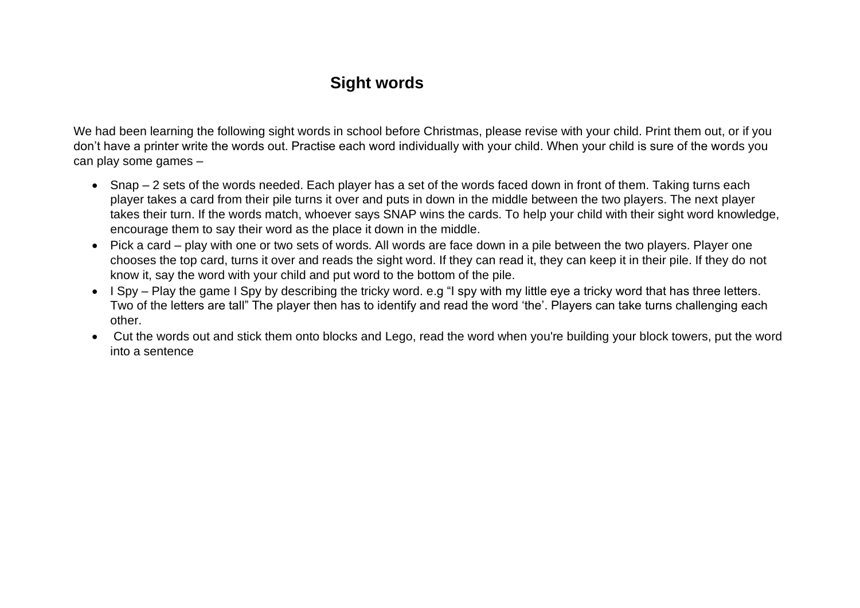## **Sight words**

We had been learning the following sight words in school before Christmas, please revise with your child. Print them out, or if you don't have a printer write the words out. Practise each word individually with your child. When your child is sure of the words you can play some games –

- Snap 2 sets of the words needed. Each player has a set of the words faced down in front of them. Taking turns each player takes a card from their pile turns it over and puts in down in the middle between the two players. The next player takes their turn. If the words match, whoever says SNAP wins the cards. To help your child with their sight word knowledge, encourage them to say their word as the place it down in the middle.
- Pick a card play with one or two sets of words. All words are face down in a pile between the two players. Player one chooses the top card, turns it over and reads the sight word. If they can read it, they can keep it in their pile. If they do not know it, say the word with your child and put word to the bottom of the pile.
- I Spy Play the game I Spy by describing the tricky word. e.g "I spy with my little eye a tricky word that has three letters. Two of the letters are tall" The player then has to identify and read the word 'the'. Players can take turns challenging each other.
- Cut the words out and stick them onto blocks and Lego, read the word when you're building your block towers, put the word into a sentence